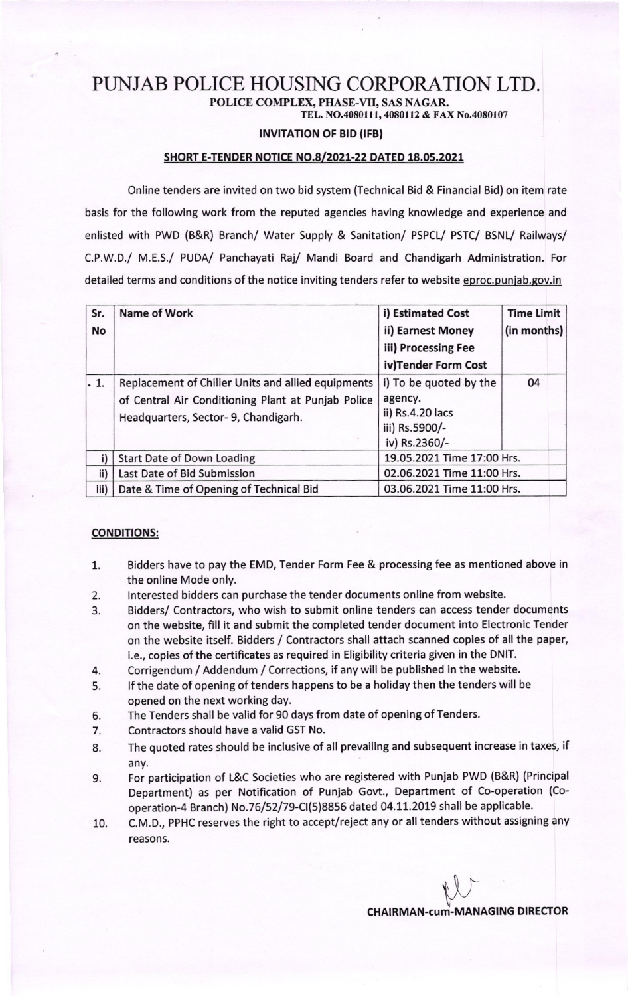## PUNJAB POLICE HOUSING CORPORATION LTD. POLICE COMPLEX, PHASE-VI, SAS NAGAR

TEL. NO.4080111, 4080112 & FAX No.4080107

### **INVITATION OF BID (IFB)**

#### SHORT E-TENDER NOTICE NO.8/2021-22 DATED 18.05.2021

Online tenders are invited on two bid system (Technical Bid & Financial Bid) on item rate basis for the following work from the reputed agencies having knowledge and experience and enlisted with PWD (B&R) Branch/ Water Supply & Sanitation/ PSPCL/ PSTC/ BSNL/ Railways/ C.P.W.D./ M.E.S./ PUDA/ Panchayati Raj/ Mandi Board and Chandigarh Administration. For detailed terms and conditions of the notice inviting tenders refer to website eproc.punjab.gov.in

| Sr.          | <b>Name of Work</b>                                | i) Estimated Cost          | <b>Time Limit</b> |
|--------------|----------------------------------------------------|----------------------------|-------------------|
| No           |                                                    | ii) Earnest Money          | (in months)       |
|              |                                                    | iii) Processing Fee        |                   |
|              |                                                    | iv)Tender Form Cost        |                   |
| $\vert$ . 1. | Replacement of Chiller Units and allied equipments | i) To be quoted by the     | 04                |
|              | of Central Air Conditioning Plant at Punjab Police | agency.                    |                   |
|              | Headquarters, Sector- 9, Chandigarh.               | ii) Rs.4.20 lacs           |                   |
|              |                                                    | iii) Rs.5900/-             |                   |
|              |                                                    | iv) Rs.2360/-              |                   |
|              | <b>Start Date of Down Loading</b>                  | 19.05.2021 Time 17:00 Hrs. |                   |
| ii)          | Last Date of Bid Submission                        | 02.06.2021 Time 11:00 Hrs. |                   |
| iii)         | Date & Time of Opening of Technical Bid            | 03.06.2021 Time 11:00 Hrs. |                   |

#### CONDITIONS:

- Bidders have to pay the EMD, Tender Form Fee & processing fee as mentioned above in the online Mode only. 1
- lnterested bidders can purchase the tender documents online from website. 2.
- Bidders/ Contractors, who wish to submit online tenders can access tender documents on the website, fill it and submit the completed tender document into Electronic Tender on the website itself. Bidders / Contractors shall attach scanned copies of all the paper, i.e., copies of the certificates as required in Eligibility criteria given in the DNIT. 3.
- Corrigendum / Addendum / Corrections, if any will be published in the website. 4
- If the date of opening of tenders happens to be a holiday then the tenders will be opened on the next working day. 5
- The Tenders shall be valid for 90 days from date of opening of Tenders. 6
- 7. Contractors should have a valid GST No.
- The quoted rates should be inclusive of all prevailing and subsequent increase in taxes, if any. 8
- For participation of L&C Societies who are registered with Punjab PWD (B&R) (Principal Department) as per Notification of Punjab Govt., Department of Co-operation (Cooperation-4 Branch) No.76/52/79-CI(5)8856 dated 04.11.2019 shall be applicable. 9.
- C.M.D., PPHC reserves the right to accept/reject any or all tenders without assigning any reasons. 10.

CHAIRMAN-cum-MANAGING DIRECTOR